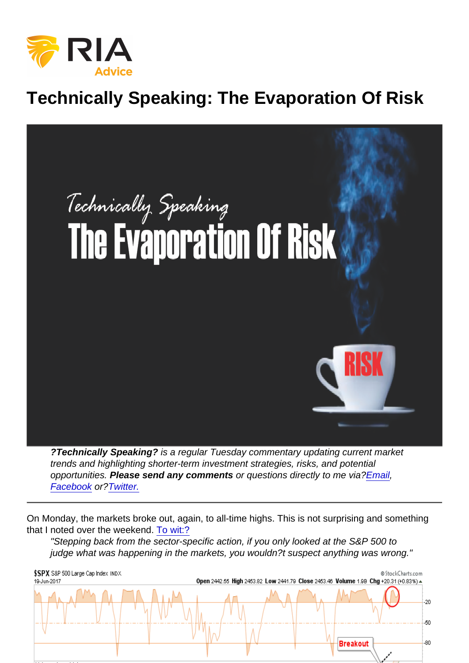Technically Speaking: The Evaporation Of Risk

?Technically Speaking? is a regular Tuesday commentary updating current market trends and highlighting shorter-term investment strategies, risks, and potential opportunities. Please send any comments or questions directly to me via?[Email,](mailto:lance@realinvestmentadvice.com) [Facebook](http://www.facebook.com/realinvestmentadvice) or[?Twitter.](https://twitter.com/LanceRoberts)

On Monday, the markets broke out, again, to all-time highs. This is not surprising and something that I noted over the weekend. [To wit:?](https://realinvestmentadvice.com/the-seemingly-bullet-proof-market-06-16-17/)

"Stepping back from the sector-specific action, if you only looked at the S&P 500 to judge what was happening in the markets, you wouldn?t suspect anything was wrong."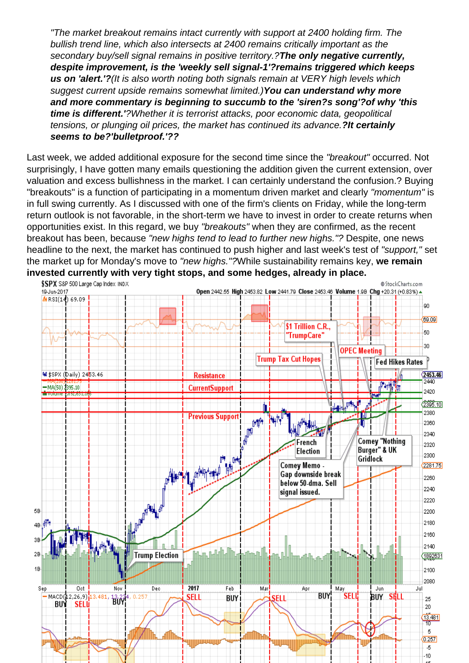"The market breakout remains intact currently with support at 2400 holding firm. The bullish trend line, which also intersects at 2400 remains critically important as the secondary buy/sell signal remains in positive territory.?The only negative currently, despite improvement, is the 'weekly sell signal-1'?remains triggered which keeps us on 'alert.'? (It is also worth noting both signals remain at VERY high levels which suggest current upside remains somewhat limited.)You can understand why more and more commentary is beginning to succumb to the 'siren?s song'?of why 'this time is different.' ?Whether it is terrorist attacks, poor economic data, geopolitical tensions, or plunging oil prices, the market has continued its advance.?It certainly seems to be?'bulletproof.'??

Last week, we added additional exposure for the second time since the "breakout" occurred. Not surprisingly, I have gotten many emails questioning the addition given the current extension, over valuation and excess bullishness in the market. I can certainly understand the confusion.? Buying "breakouts" is a function of participating in a momentum driven market and clearly "momentum" is in full swing currently. As I discussed with one of the firm's clients on Friday, while the long-term return outlook is not favorable, in the short-term we have to invest in order to create returns when opportunities exist. In this regard, we buy "breakouts" when they are confirmed, as the recent breakout has been, because "new highs tend to lead to further new highs."? Despite, one news headline to the next, the market has continued to push higher and last week's test of "support," set the market up for Monday's move to "new highs."?While sustainability remains key, we remain invested currently with very tight stops, and some hedges, already in place.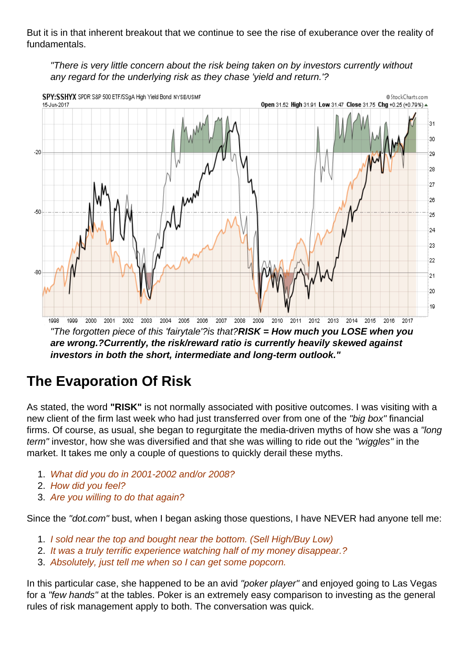But it is in that inherent breakout that we continue to see the rise of exuberance over the reality of fundamentals.

"There is very little concern about the risk being taken on by investors currently without any regard for the underlying risk as they chase 'yield and return.'?

"The forgotten piece of this 'fairytale'?is that?RISK = How much you LOSE when you are wrong.? Currently, the risk/reward ratio is currently heavily skewed against investors in both the short, intermediate and long-term outlook."

## The Evaporation Of Risk

As stated, the word "RISK" is not normally associated with positive outcomes. I was visiting with a new client of the firm last week who had just transferred over from one of the "big box" financial firms. Of course, as usual, she began to regurgitate the media-driven myths of how she was a "long term" investor, how she was diversified and that she was willing to ride out the "wiggles" in the market. It takes me only a couple of questions to quickly derail these myths.

- 1. What did you do in 2001-2002 and/or 2008?
- 2. How did you feel?
- 3. Are you willing to do that again?

Since the "dot.com" bust, when I began asking those questions, I have NEVER had anyone tell me:

- 1. I sold near the top and bought near the bottom. (Sell High/Buy Low)
- 2. It was a truly terrific experience watching half of my money disappear.?
- 3. Absolutely, just tell me when so I can get some popcorn.

In this particular case, she happened to be an avid "poker player" and enjoyed going to Las Vegas for a "few hands" at the tables. Poker is an extremely easy comparison to investing as the general rules of risk management apply to both. The conversation was quick.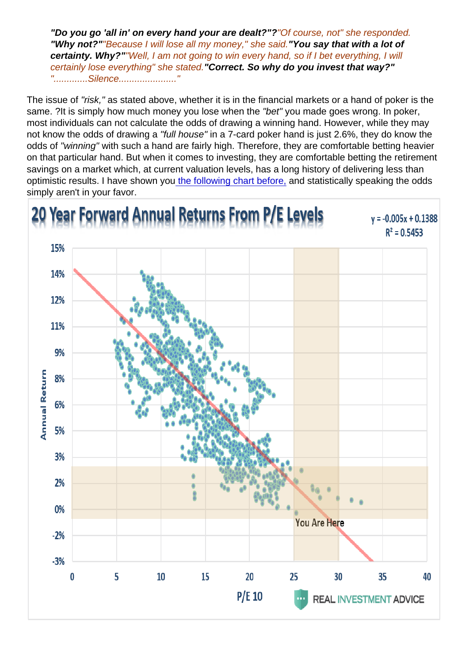"Do you go 'all in' on every hand your are dealt?"? "Of course, not" she responded. "Why not?" "Because I will lose all my money," she said."You say that with a lot of certainty. Why?" "Well, I am not going to win every hand, so if I bet everything, I will certainly lose everything" she stated."Correct. So why do you invest that way?" ".............Silence......................"

The issue of "risk," as stated above, whether it is in the financial markets or a hand of poker is the same. ?It is simply how much money you lose when the "bet" you made goes wrong. In poker, most individuals can not calculate the odds of drawing a winning hand. However, while they may not know the odds of drawing a "full house" in a 7-card poker hand is just 2.6%, they do know the odds of "winning" with such a hand are fairly high. Therefore, they are comfortable betting heavier on that particular hand. But when it comes to investing, they are comfortable betting the retirement savings on a market which, at current valuation levels, has a long history of delivering less than optimistic results. I have shown you [the following chart before,](https://realinvestmentadvice.com/the-caey-ratio-forward-returns/) and statistically speaking the odds simply aren't in your favor.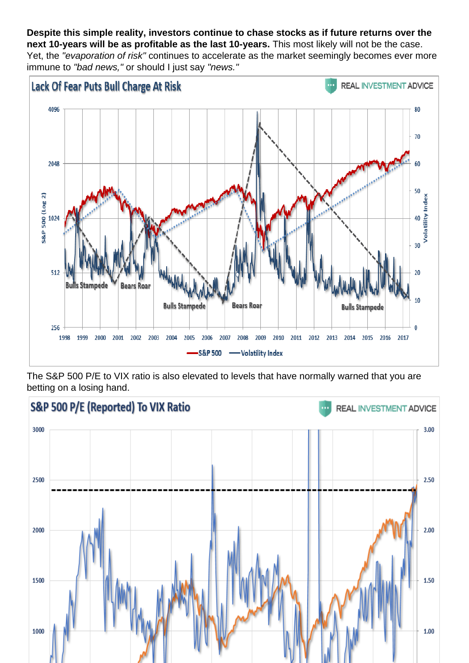Despite this simple reality, investors continue to chase stocks as if future returns over the next 10-years will be as profitable as the last 10-years. This most likely will not be the case. Yet, the "evaporation of risk" continues to accelerate as the market seemingly becomes ever more immune to "bad news," or should I just say "news."

The S&P 500 P/E to VIX ratio is also elevated to levels that have normally warned that you are betting on a losing hand.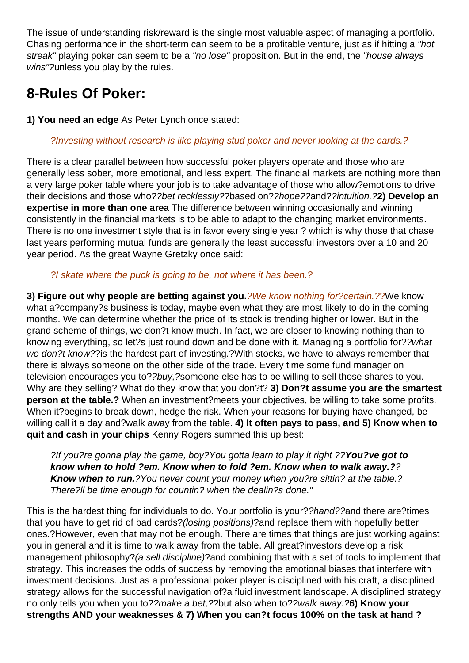The issue of understanding risk/reward is the single most valuable aspect of managing a portfolio. Chasing performance in the short-term can seem to be a profitable venture, just as if hitting a "hot streak" playing poker can seem to be a "no lose" proposition. But in the end, the "house always wins"?unless you play by the rules.

## **8-Rules Of Poker:**

**1) You need an edge** As Peter Lynch once stated:

## ?Investing without research is like playing stud poker and never looking at the cards.?

There is a clear parallel between how successful poker players operate and those who are generally less sober, more emotional, and less expert. The financial markets are nothing more than a very large poker table where your job is to take advantage of those who allow?emotions to drive their decisions and those who??bet recklessly??based on??hope??and??intuition.?**2) Develop an expertise in more than one area** The difference between winning occasionally and winning consistently in the financial markets is to be able to adapt to the changing market environments. There is no one investment style that is in favor every single year ? which is why those that chase last years performing mutual funds are generally the least successful investors over a 10 and 20 year period. As the great Wayne Gretzky once said:

## ?I skate where the puck is going to be, not where it has been.?

**3) Figure out why people are betting against you.**?We know nothing for?certain.??We know what a?company?s business is today, maybe even what they are most likely to do in the coming months. We can determine whether the price of its stock is trending higher or lower. But in the grand scheme of things, we don?t know much. In fact, we are closer to knowing nothing than to knowing everything, so let?s just round down and be done with it. Managing a portfolio for??what we don?t know?? is the hardest part of investing. ? With stocks, we have to always remember that there is always someone on the other side of the trade. Every time some fund manager on television encourages you to??buy,?someone else has to be willing to sell those shares to you. Why are they selling? What do they know that you don?t? **3) Don?t assume you are the smartest person at the table.?** When an investment?meets your objectives, be willing to take some profits. When it?begins to break down, hedge the risk. When your reasons for buying have changed, be willing call it a day and?walk away from the table. **4) It often pays to pass, and 5) Know when to quit and cash in your chips** Kenny Rogers summed this up best:

?If you?re gonna play the game, boy?You gotta learn to play it right ??**You?ve got to know when to hold ?em. Know when to fold ?em. Know when to walk away.?**? **Know when to run.**?You never count your money when you?re sittin? at the table.? There?ll be time enough for countin? when the dealin?s done."

This is the hardest thing for individuals to do. Your portfolio is your??hand??and there are?times that you have to get rid of bad cards?(losing positions)?and replace them with hopefully better ones.?However, even that may not be enough. There are times that things are just working against you in general and it is time to walk away from the table. All great?investors develop a risk management philosophy? (a sell discipline)? and combining that with a set of tools to implement that strategy. This increases the odds of success by removing the emotional biases that interfere with investment decisions. Just as a professional poker player is disciplined with his craft, a disciplined strategy allows for the successful navigation of?a fluid investment landscape. A disciplined strategy no only tells you when you to??make a bet,??but also when to??walk away.?**6) Know your strengths AND your weaknesses & 7) When you can?t focus 100% on the task at hand ?**